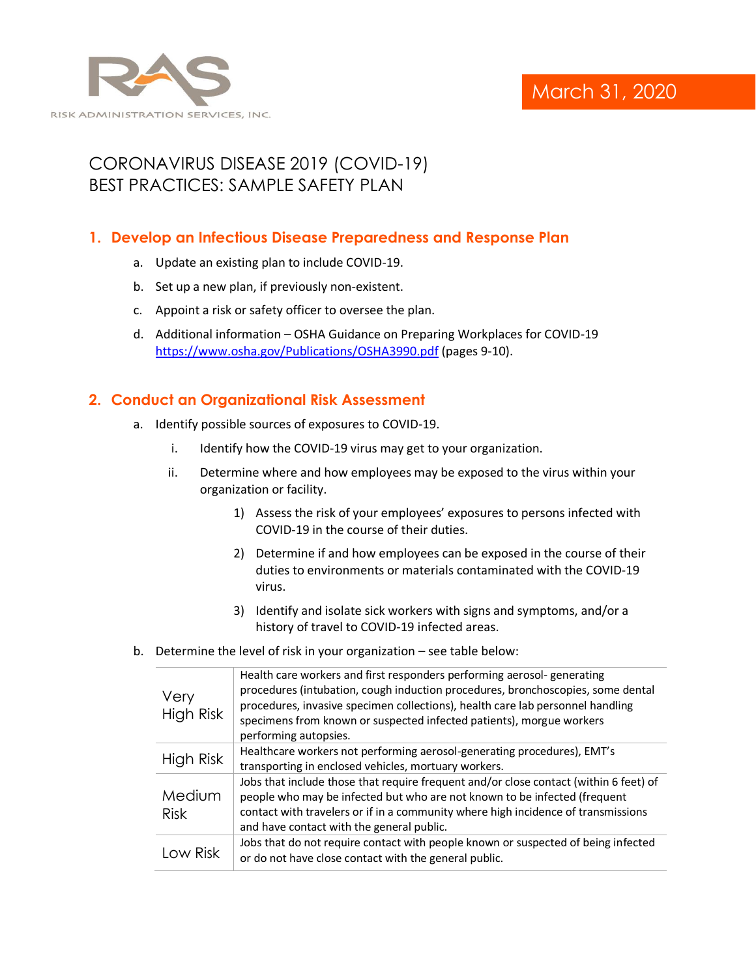

# CORONAVIRUS DISEASE 2019 (COVID-19) BEST PRACTICES: SAMPLE SAFETY PLAN

## **1. Develop an Infectious Disease Preparedness and Response Plan**

- a. Update an existing plan to include COVID-19.
- b. Set up a new plan, if previously non-existent.
- c. Appoint a risk or safety officer to oversee the plan.
- d. Additional information OSHA Guidance on Preparing Workplaces for COVID-19 <https://www.osha.gov/Publications/OSHA3990.pdf> (pages 9-10).

## **2. Conduct an Organizational Risk Assessment**

- a. Identify possible sources of exposures to COVID-19.
	- i. Identify how the COVID-19 virus may get to your organization.
	- ii. Determine where and how employees may be exposed to the virus within your organization or facility.
		- 1) Assess the risk of your employees' exposures to persons infected with COVID-19 in the course of their duties.
		- 2) Determine if and how employees can be exposed in the course of their duties to environments or materials contaminated with the COVID-19 virus.
		- 3) Identify and isolate sick workers with signs and symptoms, and/or a history of travel to COVID-19 infected areas.
- b. Determine the level of risk in your organization see table below:

| Very<br>High Risk     | Health care workers and first responders performing aerosol- generating<br>procedures (intubation, cough induction procedures, bronchoscopies, some dental<br>procedures, invasive specimen collections), health care lab personnel handling<br>specimens from known or suspected infected patients), morgue workers<br>performing autopsies. |
|-----------------------|-----------------------------------------------------------------------------------------------------------------------------------------------------------------------------------------------------------------------------------------------------------------------------------------------------------------------------------------------|
| High Risk             | Healthcare workers not performing aerosol-generating procedures), EMT's<br>transporting in enclosed vehicles, mortuary workers.                                                                                                                                                                                                               |
| Medium<br><b>Risk</b> | Jobs that include those that require frequent and/or close contact (within 6 feet) of<br>people who may be infected but who are not known to be infected (frequent<br>contact with travelers or if in a community where high incidence of transmissions<br>and have contact with the general public.                                          |
| Low Risk              | Jobs that do not require contact with people known or suspected of being infected<br>or do not have close contact with the general public.                                                                                                                                                                                                    |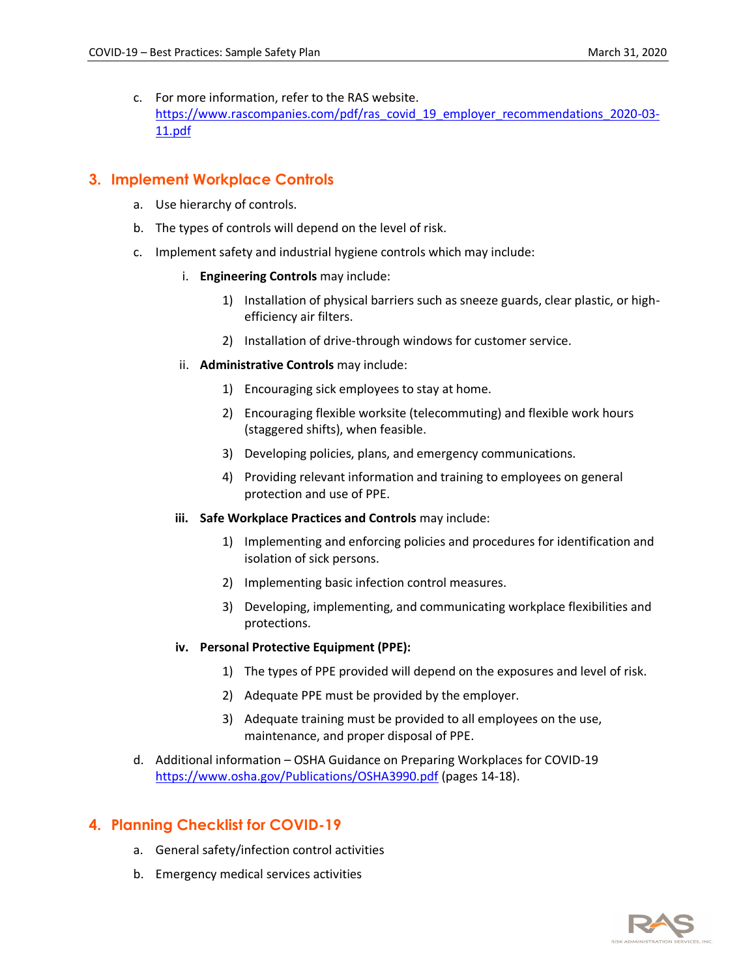c. For more information, refer to the RAS website. [https://www.rascompanies.com/pdf/ras\\_covid\\_19\\_employer\\_recommendations\\_2020-03-](https://www.rascompanies.com/pdf/ras_covid_19_employer_recommendations_2020-03-11.pdf) [11.pdf](https://www.rascompanies.com/pdf/ras_covid_19_employer_recommendations_2020-03-11.pdf)

#### **3. Implement Workplace Controls**

- a. Use hierarchy of controls.
- b. The types of controls will depend on the level of risk.
- c. Implement safety and industrial hygiene controls which may include:
	- i. **Engineering Controls** may include:
		- 1) Installation of physical barriers such as sneeze guards, clear plastic, or highefficiency air filters.
		- 2) Installation of drive-through windows for customer service.
	- ii. **Administrative Controls** may include:
		- 1) Encouraging sick employees to stay at home.
		- 2) Encouraging flexible worksite (telecommuting) and flexible work hours (staggered shifts), when feasible.
		- 3) Developing policies, plans, and emergency communications.
		- 4) Providing relevant information and training to employees on general protection and use of PPE.
	- **iii. Safe Workplace Practices and Controls** may include:
		- 1) Implementing and enforcing policies and procedures for identification and isolation of sick persons.
		- 2) Implementing basic infection control measures.
		- 3) Developing, implementing, and communicating workplace flexibilities and protections.

#### **iv. Personal Protective Equipment (PPE):**

- 1) The types of PPE provided will depend on the exposures and level of risk.
- 2) Adequate PPE must be provided by the employer.
- 3) Adequate training must be provided to all employees on the use, maintenance, and proper disposal of PPE.
- d. Additional information OSHA Guidance on Preparing Workplaces for COVID-19 <https://www.osha.gov/Publications/OSHA3990.pdf> (pages 14-18).

### **4. Planning Checklist for COVID-19**

- a. General safety/infection control activities
- b. Emergency medical services activities